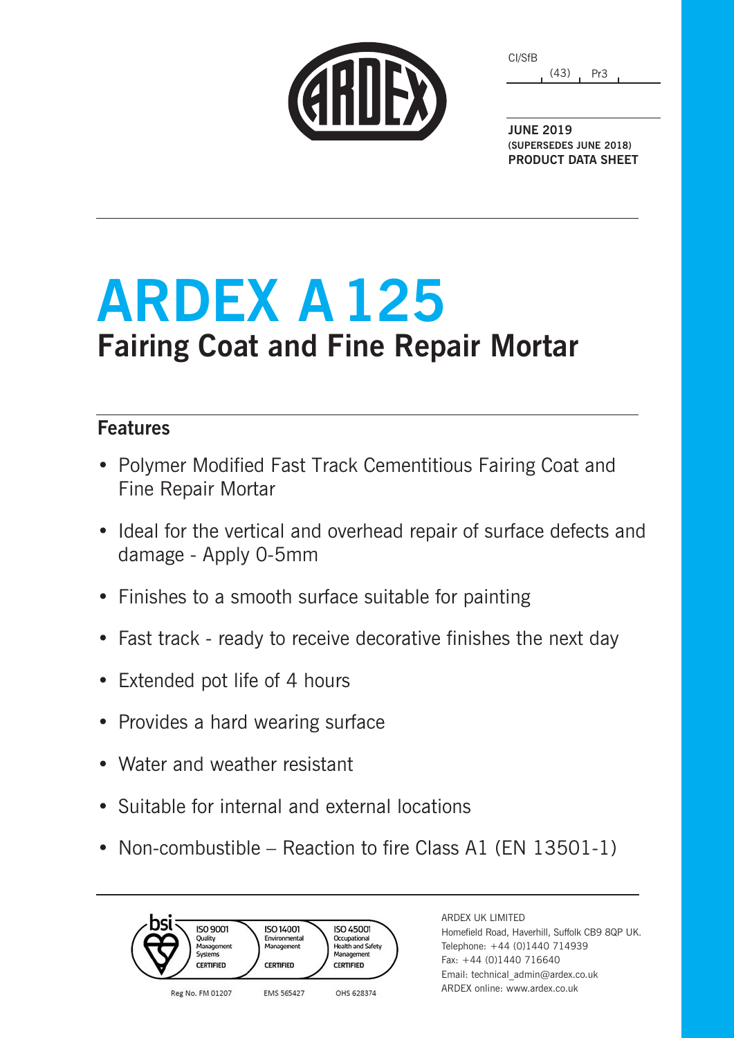(43) Pr3 CI/SfB

**JUNE 2019 (SUPERSEDES JUNE 2018) PRODUCT DATA SHEET**

## **ARDEX A125 Fairing Coat and Fine Repair Mortar**

### **Features**

- Polymer Modified Fast Track Cementitious Fairing Coat and Fine Repair Mortar
- Ideal for the vertical and overhead repair of surface defects and damage - Apply 0-5mm
- Finishes to a smooth surface suitable for painting
- Fast track ready to receive decorative finishes the next day
- Extended pot life of 4 hours
- Provides a hard wearing surface
- Water and weather resistant
- Suitable for internal and external locations
- Non-combustible Reaction to fire Class A1 (EN 13501-1)



ARDEX UK LIMITED Homefield Road, Haverhill, Suffolk CB9 8QP UK. Telephone: +44 (0)1440 714939 Fax: +44 (0)1440 716640 Email: technical\_admin@ardex.co.uk ARDEX online: www.ardex.co.uk